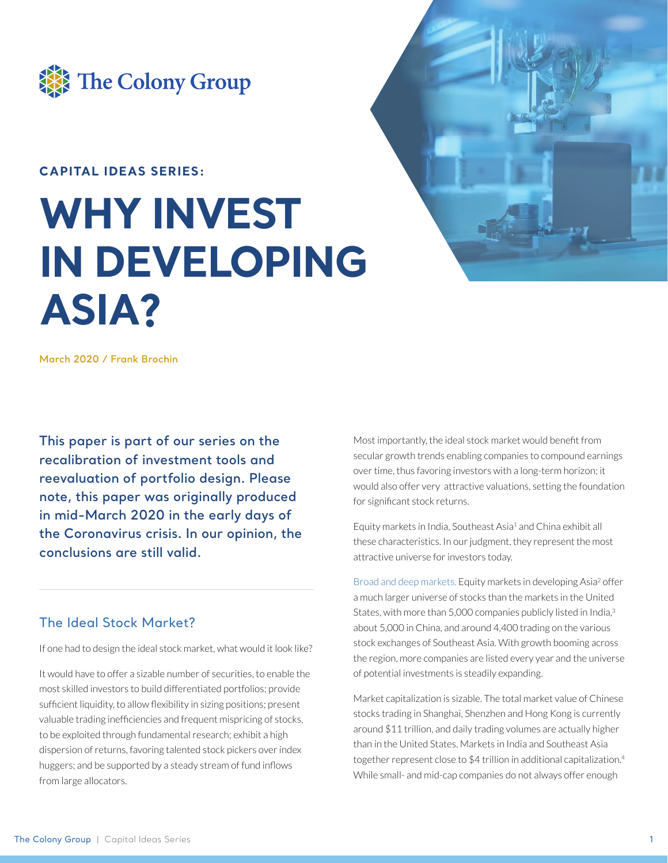

## **CAPITAL IDEAS SERIES:**

# **WHY INVEST IN DEVELOPING ASIA?**

**March 2020 / Frank Brochin**

**This paper is part of our series on the recalibration of investment tools and reevaluation of portfolio design. Please note, this paper was originally produced in mid-March 2020 in the early days of the Coronavirus crisis. In our opinion, the conclusions are still valid.**

## The Ideal Stock Market?

If one had to design the ideal stock market, what would it look like?

It would have to offer a sizable number of securities, to enable the most skilled investors to build differentiated portfolios; provide sufficient liquidity, to allow flexibility in sizing positions; present valuable trading inefficiencies and frequent mispricing of stocks, to be exploited through fundamental research; exhibit a high dispersion of returns, favoring talented stock pickers over index huggers; and be supported by a steady stream of fund inflows from large allocators.



Equity markets in India, Southeast Asia<sup>1</sup> and China exhibit all these characteristics. In our judgment, they represent the most attractive universe for investors today.

Broad and deep markets. Equity markets in developing Asia<sup>2</sup> offer a much larger universe of stocks than the markets in the United States, with more than 5,000 companies publicly listed in India,<sup>3</sup> about 5,000 in China, and around 4,400 trading on the various stock exchanges of Southeast Asia. With growth booming across the region, more companies are listed every year and the universe of potential investments is steadily expanding.

Market capitalization is sizable. The total market value of Chinese stocks trading in Shanghai, Shenzhen and Hong Kong is currently around \$11 trillion, and daily trading volumes are actually higher than in the United States. Markets in India and Southeast Asia together represent close to \$4 trillion in additional capitalization.<sup>4</sup> While small- and mid-cap companies do not always offer enough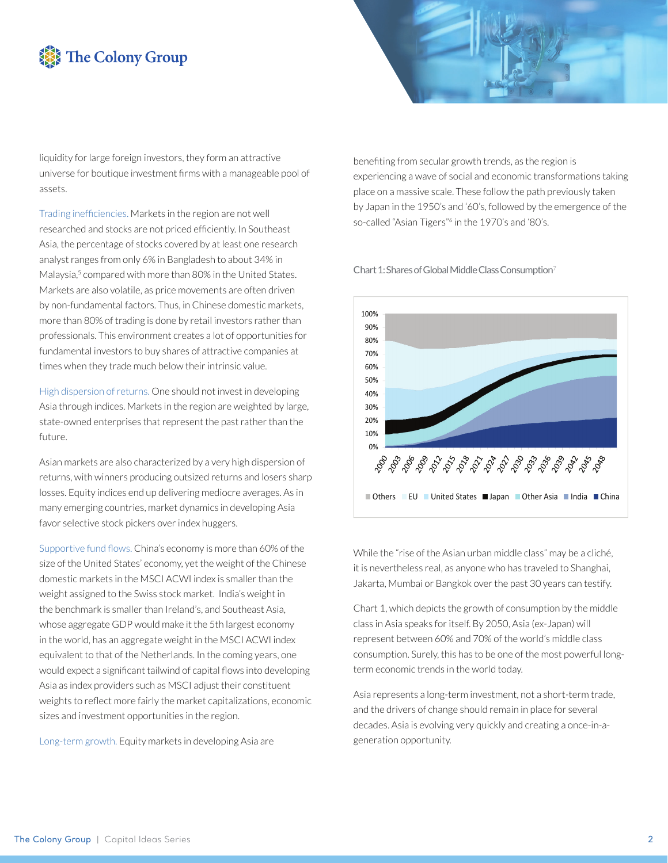# The Colony Group

liquidity for large foreign investors, they form an attractive universe for boutique investment firms with a manageable pool of assets.

Trading inefficiencies. Markets in the region are not well researched and stocks are not priced efficiently. In Southeast Asia, the percentage of stocks covered by at least one research analyst ranges from only 6% in Bangladesh to about 34% in Malaysia,<sup>5</sup> compared with more than 80% in the United States. Markets are also volatile, as price movements are often driven by non-fundamental factors. Thus, in Chinese domestic markets, more than 80% of trading is done by retail investors rather than professionals. This environment creates a lot of opportunities for fundamental investors to buy shares of attractive companies at times when they trade much below their intrinsic value.

High dispersion of returns. One should not invest in developing Asia through indices. Markets in the region are weighted by large, state-owned enterprises that represent the past rather than the future.

Asian markets are also characterized by a very high dispersion of returns, with winners producing outsized returns and losers sharp losses. Equity indices end up delivering mediocre averages. As in many emerging countries, market dynamics in developing Asia favor selective stock pickers over index huggers.

Supportive fund flows. China's economy is more than 60% of the size of the United States' economy, yet the weight of the Chinese domestic markets in the MSCI ACWI index is smaller than the weight assigned to the Swiss stock market. India's weight in the benchmark is smaller than Ireland's, and Southeast Asia, whose aggregate GDP would make it the 5th largest economy in the world, has an aggregate weight in the MSCI ACWI index equivalent to that of the Netherlands. In the coming years, one would expect a significant tailwind of capital flows into developing Asia as index providers such as MSCI adjust their constituent weights to reflect more fairly the market capitalizations, economic sizes and investment opportunities in the region.

Long-term growth. Equity markets in developing Asia are



Chart 1: Shares of Global Middle Class Consumption<sup>7</sup>



While the "rise of the Asian urban middle class" may be a cliché, it is nevertheless real, as anyone who has traveled to Shanghai, Jakarta, Mumbai or Bangkok over the past 30 years can testify.

Chart 1, which depicts the growth of consumption by the middle class in Asia speaks for itself. By 2050, Asia (ex-Japan) will represent between 60% and 70% of the world's middle class consumption. Surely, this has to be one of the most powerful longterm economic trends in the world today.

Asia represents a long-term investment, not a short-term trade, and the drivers of change should remain in place for several decades. Asia is evolving very quickly and creating a once-in-ageneration opportunity.